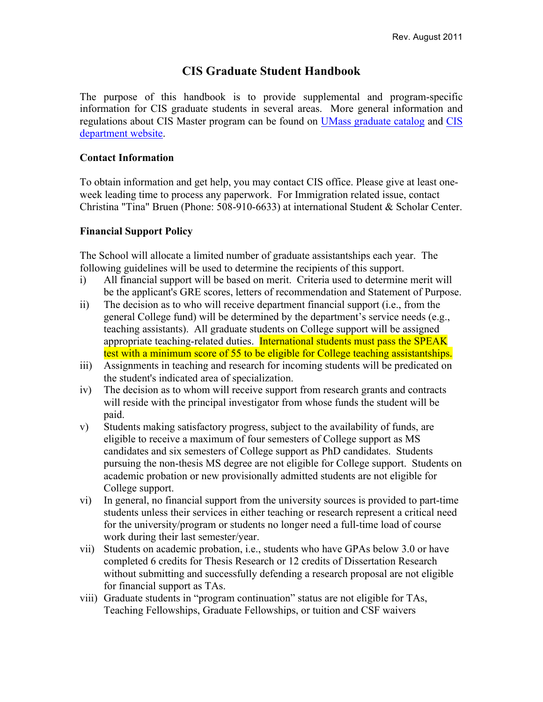# **CIS Graduate Student Handbook**

The purpose of this handbook is to provide supplemental and program-specific information for CIS graduate students in several areas. More general information and regulations about CIS Master program can be found on UMass graduate catalog and CIS department website.

### **Contact Information**

To obtain information and get help, you may contact CIS office. Please give at least oneweek leading time to process any paperwork. For Immigration related issue, contact Christina "Tina" Bruen (Phone: 508-910-6633) at international Student & Scholar Center.

### **Financial Support Policy**

The School will allocate a limited number of graduate assistantships each year. The following guidelines will be used to determine the recipients of this support.

- i) All financial support will be based on merit. Criteria used to determine merit will be the applicant's GRE scores, letters of recommendation and Statement of Purpose.
- ii) The decision as to who will receive department financial support (i.e., from the general College fund) will be determined by the department's service needs (e.g., teaching assistants). All graduate students on College support will be assigned appropriate teaching-related duties. International students must pass the SPEAK test with a minimum score of 55 to be eligible for College teaching assistantships.
- iii) Assignments in teaching and research for incoming students will be predicated on the student's indicated area of specialization.
- iv) The decision as to whom will receive support from research grants and contracts will reside with the principal investigator from whose funds the student will be paid.
- v) Students making satisfactory progress, subject to the availability of funds, are eligible to receive a maximum of four semesters of College support as MS candidates and six semesters of College support as PhD candidates. Students pursuing the non-thesis MS degree are not eligible for College support. Students on academic probation or new provisionally admitted students are not eligible for College support.
- vi) In general, no financial support from the university sources is provided to part-time students unless their services in either teaching or research represent a critical need for the university/program or students no longer need a full-time load of course work during their last semester/year.
- vii) Students on academic probation, i.e., students who have GPAs below 3.0 or have completed 6 credits for Thesis Research or 12 credits of Dissertation Research without submitting and successfully defending a research proposal are not eligible for financial support as TAs.
- viii) Graduate students in "program continuation" status are not eligible for TAs, Teaching Fellowships, Graduate Fellowships, or tuition and CSF waivers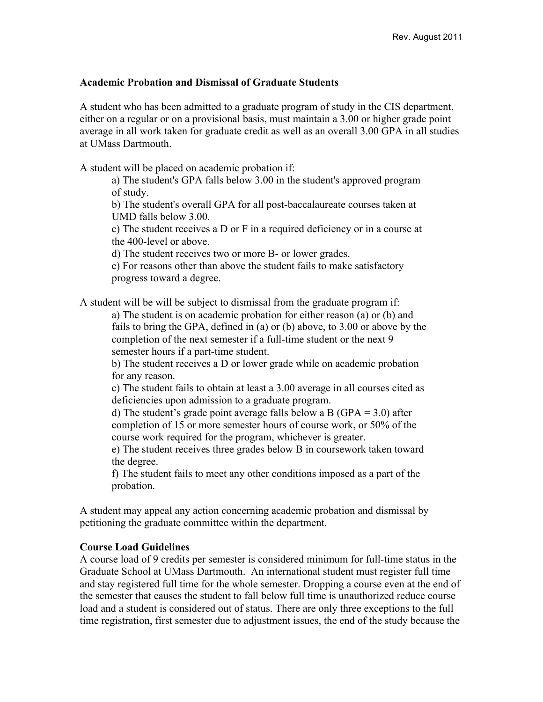#### **Academic Probation and Dismissal of Graduate Students**

A student who has been admitted to a graduate program of study in the CIS department, either on a regular or on a provisional basis, must maintain a 3.00 or higher grade point average in all work taken for graduate credit as well as an overall 3.00 GPA in all studies at UMass Dartmouth.

A student will be placed on academic probation if:

a) The student's GPA falls below 3.00 in the student's approved program of study.

b) The student's overall GPA for all post-baccalaureate courses taken at UMD falls below 3.00.

c) The student receives a D or F in a required deficiency or in a course at the 400-level or above.

d) The student receives two or more B- or lower grades.

e) For reasons other than above the student fails to make satisfactory progress toward a degree.

A student will be will be subject to dismissal from the graduate program if:

a) The student is on academic probation for either reason (a) or (b) and fails to bring the GPA, defined in (a) or (b) above, to 3.00 or above by the completion of the next semester if a full-time student or the next 9 semester hours if a part-time student.

b) The student receives a D or lower grade while on academic probation for any reason.

c) The student fails to obtain at least a 3.00 average in all courses cited as deficiencies upon admission to a graduate program.

d) The student's grade point average falls below a B (GPA =  $3.0$ ) after completion of 15 or more semester hours of course work, or 50% of the course work required for the program, whichever is greater.

e) The student receives three grades below B in coursework taken toward the degree.

f) The student fails to meet any other conditions imposed as a part of the probation.

A student may appeal any action concerning academic probation and dismissal by petitioning the graduate committee within the department.

#### **Course Load Guidelines**

A course load of 9 credits per semester is considered minimum for full-time status in the Graduate School at UMass Dartmouth. An international student must register full time and stay registered full time for the whole semester. Dropping a course even at the end of the semester that causes the student to fall below full time is unauthorized reduce course load and a student is considered out of status. There are only three exceptions to the full time registration, first semester due to adjustment issues, the end of the study because the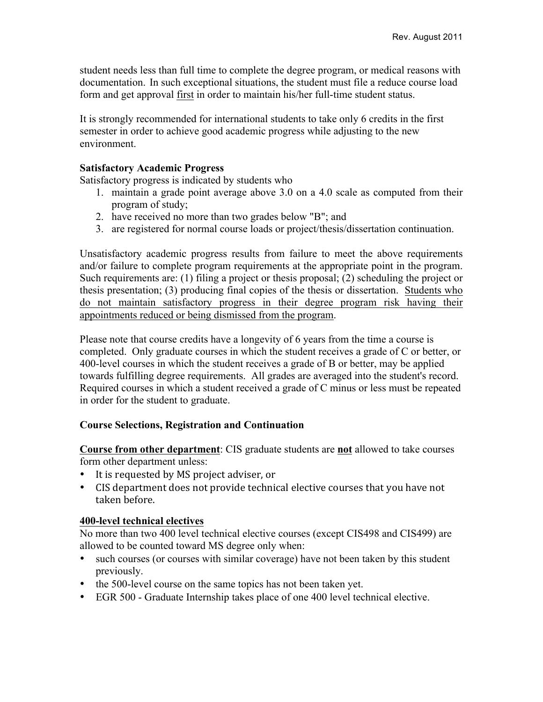student needs less than full time to complete the degree program, or medical reasons with documentation. In such exceptional situations, the student must file a reduce course load form and get approval first in order to maintain his/her full-time student status.

It is strongly recommended for international students to take only 6 credits in the first semester in order to achieve good academic progress while adjusting to the new environment.

#### **Satisfactory Academic Progress**

Satisfactory progress is indicated by students who

- 1. maintain a grade point average above 3.0 on a 4.0 scale as computed from their program of study;
- 2. have received no more than two grades below "B"; and
- 3. are registered for normal course loads or project/thesis/dissertation continuation.

Unsatisfactory academic progress results from failure to meet the above requirements and/or failure to complete program requirements at the appropriate point in the program. Such requirements are: (1) filing a project or thesis proposal; (2) scheduling the project or thesis presentation; (3) producing final copies of the thesis or dissertation. Students who do not maintain satisfactory progress in their degree program risk having their appointments reduced or being dismissed from the program.

Please note that course credits have a longevity of 6 years from the time a course is completed. Only graduate courses in which the student receives a grade of C or better, or 400-level courses in which the student receives a grade of B or better, may be applied towards fulfilling degree requirements. All grades are averaged into the student's record. Required courses in which a student received a grade of C minus or less must be repeated in order for the student to graduate.

#### **Course Selections, Registration and Continuation**

**Course from other department**: CIS graduate students are **not** allowed to take courses form other department unless:

- It is requested by MS project adviser, or
- CIS department does not provide technical elective courses that you have not taken before.

#### **400-level technical electives**

No more than two 400 level technical elective courses (except CIS498 and CIS499) are allowed to be counted toward MS degree only when:

- such courses (or courses with similar coverage) have not been taken by this student previously.
- the 500-level course on the same topics has not been taken yet.
- EGR 500 Graduate Internship takes place of one 400 level technical elective.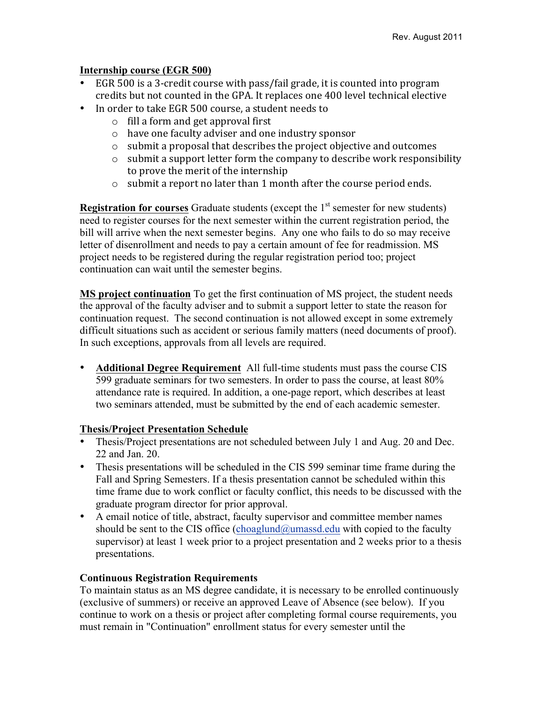### **Internship course (EGR 500)**

- EGR 500 is a 3-credit course with pass/fail grade, it is counted into program credits but not counted in the GPA. It replaces one 400 level technical elective
- In order to take EGR 500 course, a student needs to
	- $\circ$  fill a form and get approval first
	- $\circ$  have one faculty adviser and one industry sponsor
	- $\circ$  submit a proposal that describes the project objective and outcomes
	- $\circ$  submit a support letter form the company to describe work responsibility to prove the merit of the internship
	- $\circ$  submit a report no later than 1 month after the course period ends.

**Registration for courses** Graduate students (except the  $1<sup>st</sup>$  semester for new students) need to register courses for the next semester within the current registration period, the bill will arrive when the next semester begins. Any one who fails to do so may receive letter of disenrollment and needs to pay a certain amount of fee for readmission. MS project needs to be registered during the regular registration period too; project continuation can wait until the semester begins.

**MS project continuation** To get the first continuation of MS project, the student needs the approval of the faculty adviser and to submit a support letter to state the reason for continuation request. The second continuation is not allowed except in some extremely difficult situations such as accident or serious family matters (need documents of proof). In such exceptions, approvals from all levels are required.

• **Additional Degree Requirement** All full-time students must pass the course CIS 599 graduate seminars for two semesters. In order to pass the course, at least 80% attendance rate is required. In addition, a one-page report, which describes at least two seminars attended, must be submitted by the end of each academic semester.

### **Thesis/Project Presentation Schedule**

- Thesis/Project presentations are not scheduled between July 1 and Aug. 20 and Dec. 22 and Jan. 20.
- Thesis presentations will be scheduled in the CIS 599 seminar time frame during the Fall and Spring Semesters. If a thesis presentation cannot be scheduled within this time frame due to work conflict or faculty conflict, this needs to be discussed with the graduate program director for prior approval.
- A email notice of title, abstract, faculty supervisor and committee member names should be sent to the CIS office (choaglund@umassd.edu with copied to the faculty supervisor) at least 1 week prior to a project presentation and 2 weeks prior to a thesis presentations.

## **Continuous Registration Requirements**

To maintain status as an MS degree candidate, it is necessary to be enrolled continuously (exclusive of summers) or receive an approved Leave of Absence (see below). If you continue to work on a thesis or project after completing formal course requirements, you must remain in "Continuation" enrollment status for every semester until the